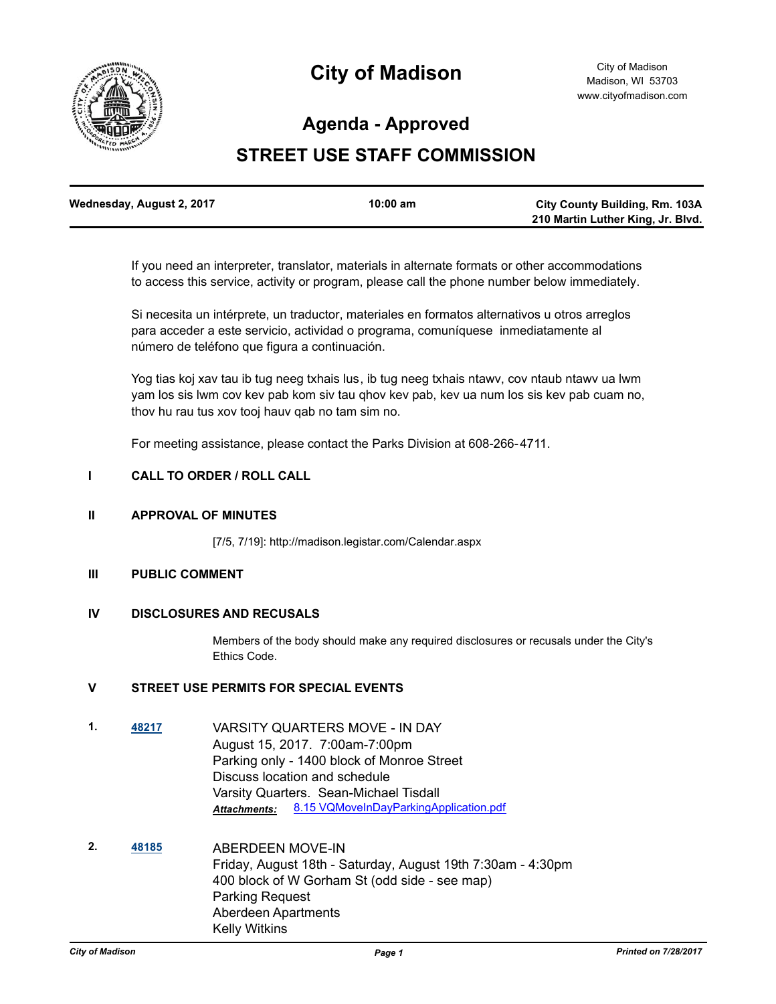

# **City of Madison**

# **Agenda - Approved**

# **STREET USE STAFF COMMISSION**

| Wednesday, August 2, 2017 | 10:00 am | <b>City County Building, Rm. 103A</b> |
|---------------------------|----------|---------------------------------------|
|                           |          | 210 Martin Luther King, Jr. Blvd.     |

If you need an interpreter, translator, materials in alternate formats or other accommodations to access this service, activity or program, please call the phone number below immediately.

Si necesita un intérprete, un traductor, materiales en formatos alternativos u otros arreglos para acceder a este servicio, actividad o programa, comuníquese inmediatamente al número de teléfono que figura a continuación.

Yog tias koj xav tau ib tug neeg txhais lus, ib tug neeg txhais ntawv, cov ntaub ntawv ua lwm yam los sis lwm cov kev pab kom siv tau qhov kev pab, kev ua num los sis kev pab cuam no, thov hu rau tus xov tooj hauv qab no tam sim no.

For meeting assistance, please contact the Parks Division at 608-266-4711.

### **I CALL TO ORDER / ROLL CALL**

#### **II APPROVAL OF MINUTES**

[7/5, 7/19]: http://madison.legistar.com/Calendar.aspx

## **III PUBLIC COMMENT**

# **IV DISCLOSURES AND RECUSALS**

Members of the body should make any required disclosures or recusals under the City's Ethics Code.

# **V STREET USE PERMITS FOR SPECIAL EVENTS**

- **1. [48217](http://madison.legistar.com/gateway.aspx?m=l&id=/matter.aspx?key=52135)** VARSITY QUARTERS MOVE IN DAY August 15, 2017. 7:00am-7:00pm Parking only - 1400 block of Monroe Street Discuss location and schedule Varsity Quarters. Sean-Michael Tisdall Attachments: [8.15 VQMoveInDayParkingApplication.pdf](http://madison.legistar.com/gateway.aspx?M=F&ID=7bf982dd-5134-45d2-bef4-622060ff674e.pdf)
- **2. [48185](http://madison.legistar.com/gateway.aspx?m=l&id=/matter.aspx?key=52103)** ABERDEEN MOVE-IN Friday, August 18th - Saturday, August 19th 7:30am - 4:30pm 400 block of W Gorham St (odd side - see map) Parking Request Aberdeen Apartments Kelly Witkins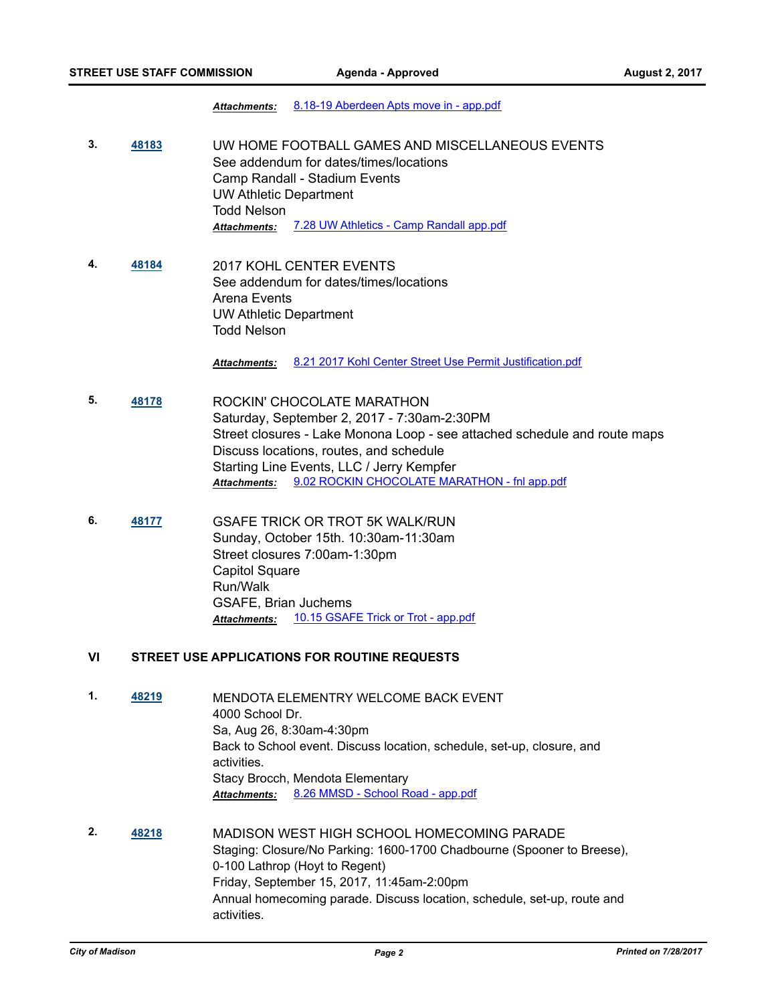#### *Attachments:* [8.18-19 Aberdeen Apts move in - app.pdf](http://madison.legistar.com/gateway.aspx?M=F&ID=76e6a833-ea07-4d3b-8cc7-784b64a32b25.pdf)

- **3. [48183](http://madison.legistar.com/gateway.aspx?m=l&id=/matter.aspx?key=52101)** UW HOME FOOTBALL GAMES AND MISCELLANEOUS EVENTS See addendum for dates/times/locations Camp Randall - Stadium Events UW Athletic Department Todd Nelson *Attachments:* [7.28 UW Athletics - Camp Randall app.pdf](http://madison.legistar.com/gateway.aspx?M=F&ID=0295dfe2-4dc1-4fdc-924e-95d3d83edb31.pdf)
- **4. [48184](http://madison.legistar.com/gateway.aspx?m=l&id=/matter.aspx?key=52102)** 2017 KOHL CENTER EVENTS See addendum for dates/times/locations Arena Events UW Athletic Department Todd Nelson

*Attachments:* [8.21 2017 Kohl Center Street Use Permit Justification.pdf](http://madison.legistar.com/gateway.aspx?M=F&ID=052413da-158c-49bd-9298-f8804920202e.pdf)

- **5. [48178](http://madison.legistar.com/gateway.aspx?m=l&id=/matter.aspx?key=52099)** ROCKIN' CHOCOLATE MARATHON Saturday, September 2, 2017 - 7:30am-2:30PM Street closures - Lake Monona Loop - see attached schedule and route maps Discuss locations, routes, and schedule Starting Line Events, LLC / Jerry Kempfer *Attachments:* [9.02 ROCKIN CHOCOLATE MARATHON - fnl app.pdf](http://madison.legistar.com/gateway.aspx?M=F&ID=9a04bc5d-e0a0-45c4-88e3-89acaa317e19.pdf)
- **6. [48177](http://madison.legistar.com/gateway.aspx?m=l&id=/matter.aspx?key=52098)** GSAFE TRICK OR TROT 5K WALK/RUN Sunday, October 15th. 10:30am-11:30am Street closures 7:00am-1:30pm Capitol Square Run/Walk GSAFE, Brian Juchems *Attachments:* [10.15 GSAFE Trick or Trot - app.pdf](http://madison.legistar.com/gateway.aspx?M=F&ID=51cd321a-d85a-4709-9b3b-1b87ee4441ba.pdf)

#### **VI STREET USE APPLICATIONS FOR ROUTINE REQUESTS**

- **1. [48219](http://madison.legistar.com/gateway.aspx?m=l&id=/matter.aspx?key=52137)** MENDOTA ELEMENTRY WELCOME BACK EVENT 4000 School Dr. Sa, Aug 26, 8:30am-4:30pm Back to School event. Discuss location, schedule, set-up, closure, and activities. Stacy Brocch, Mendota Elementary *Attachments:* [8.26 MMSD - School Road - app.pdf](http://madison.legistar.com/gateway.aspx?M=F&ID=d25572f8-c299-4003-bf41-456f7fa46106.pdf)
- **2. [48218](http://madison.legistar.com/gateway.aspx?m=l&id=/matter.aspx?key=52136)** MADISON WEST HIGH SCHOOL HOMECOMING PARADE Staging: Closure/No Parking: 1600-1700 Chadbourne (Spooner to Breese), 0-100 Lathrop (Hoyt to Regent) Friday, September 15, 2017, 11:45am-2:00pm Annual homecoming parade. Discuss location, schedule, set-up, route and activities.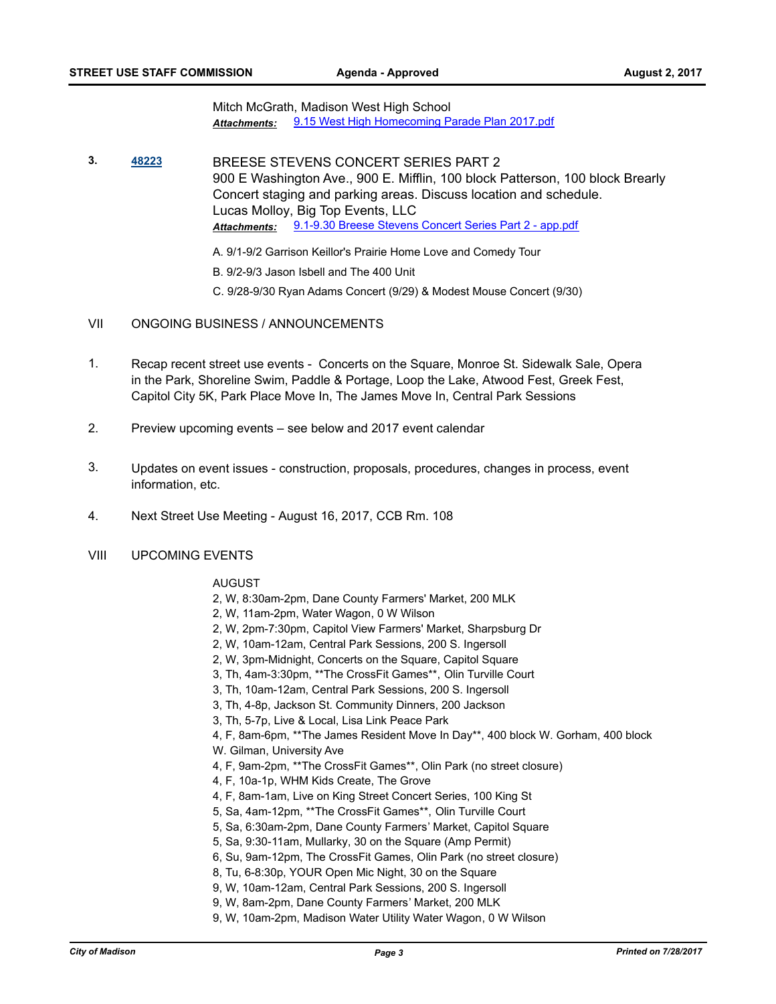Mitch McGrath, Madison West High School *Attachments:* [9.15 West High Homecoming Parade Plan 2017.pdf](http://madison.legistar.com/gateway.aspx?M=F&ID=158fdc94-c43d-4d01-803a-53c935d81773.pdf)

**3. [48223](http://madison.legistar.com/gateway.aspx?m=l&id=/matter.aspx?key=52141)** BREESE STEVENS CONCERT SERIES PART 2 900 E Washington Ave., 900 E. Mifflin, 100 block Patterson, 100 block Brearly Concert staging and parking areas. Discuss location and schedule. Lucas Molloy, Big Top Events, LLC *Attachments:* [9.1-9.30 Breese Stevens Concert Series Part 2 - app.pdf](http://madison.legistar.com/gateway.aspx?M=F&ID=dad2d325-ec49-4eae-aebd-81afbdc798d1.pdf)

A. 9/1-9/2 Garrison Keillor's Prairie Home Love and Comedy Tour

B. 9/2-9/3 Jason Isbell and The 400 Unit

- C. 9/28-9/30 Ryan Adams Concert (9/29) & Modest Mouse Concert (9/30)
- VII ONGOING BUSINESS / ANNOUNCEMENTS
- 1. Recap recent street use events Concerts on the Square, Monroe St. Sidewalk Sale, Opera in the Park, Shoreline Swim, Paddle & Portage, Loop the Lake, Atwood Fest, Greek Fest, Capitol City 5K, Park Place Move In, The James Move In, Central Park Sessions
- 2. Preview upcoming events see below and 2017 event calendar
- 3. Updates on event issues construction, proposals, procedures, changes in process, event information, etc.
- 4. Next Street Use Meeting August 16, 2017, CCB Rm. 108
- VIII UPCOMING EVENTS

AUGUST

- 2, W, 8:30am-2pm, Dane County Farmers' Market, 200 MLK
- 2, W, 11am-2pm, Water Wagon, 0 W Wilson
- 2, W, 2pm-7:30pm, Capitol View Farmers' Market, Sharpsburg Dr
- 2, W, 10am-12am, Central Park Sessions, 200 S. Ingersoll
- 2, W, 3pm-Midnight, Concerts on the Square, Capitol Square
- 3, Th, 4am-3:30pm, \*\*The CrossFit Games\*\*, Olin Turville Court
- 3, Th, 10am-12am, Central Park Sessions, 200 S. Ingersoll
- 3, Th, 4-8p, Jackson St. Community Dinners, 200 Jackson
- 3, Th, 5-7p, Live & Local, Lisa Link Peace Park

4, F, 8am-6pm, \*\*The James Resident Move In Day\*\*, 400 block W. Gorham, 400 block W. Gilman, University Ave

- 4, F, 9am-2pm, \*\*The CrossFit Games\*\*, Olin Park (no street closure)
- 4, F, 10a-1p, WHM Kids Create, The Grove
- 4, F, 8am-1am, Live on King Street Concert Series, 100 King St
- 5, Sa, 4am-12pm, \*\*The CrossFit Games\*\*, Olin Turville Court
- 5, Sa, 6:30am-2pm, Dane County Farmers' Market, Capitol Square
- 5, Sa, 9:30-11am, Mullarky, 30 on the Square (Amp Permit)
- 6, Su, 9am-12pm, The CrossFit Games, Olin Park (no street closure)
- 8, Tu, 6-8:30p, YOUR Open Mic Night, 30 on the Square
- 9, W, 10am-12am, Central Park Sessions, 200 S. Ingersoll
- 9, W, 8am-2pm, Dane County Farmers' Market, 200 MLK
- 9, W, 10am-2pm, Madison Water Utility Water Wagon, 0 W Wilson